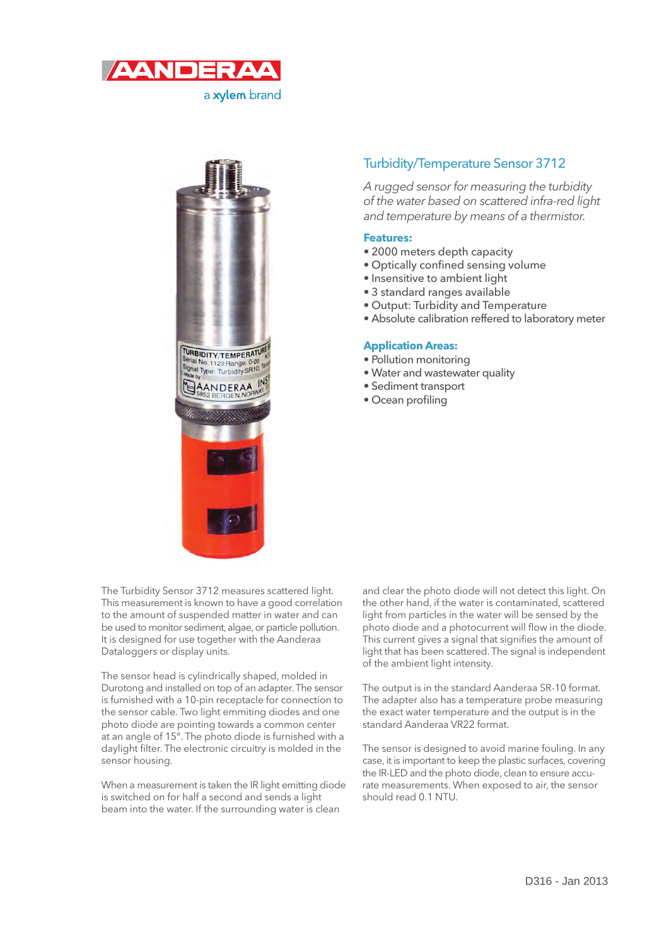

a xylem brand



## Turbidity/Temperature Sensor 3712

A rugged sensor for measuring the turbidity of the water based on scattered infra-red light and temperature by means of a thermistor.

## **Features:**

- 2000 meters depth capacity
- Optically confined sensing volume
- Insensitive to ambient light
- 3 standard ranges available
- Output: Turbidity and Temperature
- Absolute calibration reffered to laboratory meter

## **Application Areas:**

- Pollution monitoring
- Water and wastewater quality
- Sediment transport
- Ocean profiling

The Turbidity Sensor 3712 measures scattered light. This measurement is known to have a good correlation to the amount of suspended matter in water and can be used to monitor sediment, algae, or particle pollution. It is designed for use together with the Aanderaa Dataloggers or display units.

The sensor head is cylindrically shaped, molded in Durotong and installed on top of an adapter. The sensor is furnished with a 10-pin receptacle for connection to the sensor cable. Two light emmiting diodes and one photo diode are pointing towards a common center at an angle of  $15^\circ$ . The photo diode is furnished with a daylight filter. The electronic circuitry is molded in the sensor housing.

When a measurement is taken the IR light emitting diode is switched on for half a second and sends a light beam into the water. If the surrounding water is clean

and clear the photo diode will not detect this light. On the other hand, if the water is contaminated, scattered light from particles in the water will be sensed by the photo diode and a photocurrent will flow in the diode. This current gives a signal that signifies the amount of light that has been scattered. The signal is independent of the ambient light intensity.

The output is in the standard Aanderaa SR-10 format. The adapter also has a temperature probe measuring the exact water temperature and the output is in the standard Aanderaa VR22 format.

The sensor is designed to avoid marine fouling. In any case, it is important to keep the plastic surfaces, covering the IR-LED and the photo diode, clean to ensure accurate measurements. When exposed to air, the sensor should read 0.1 NTU.